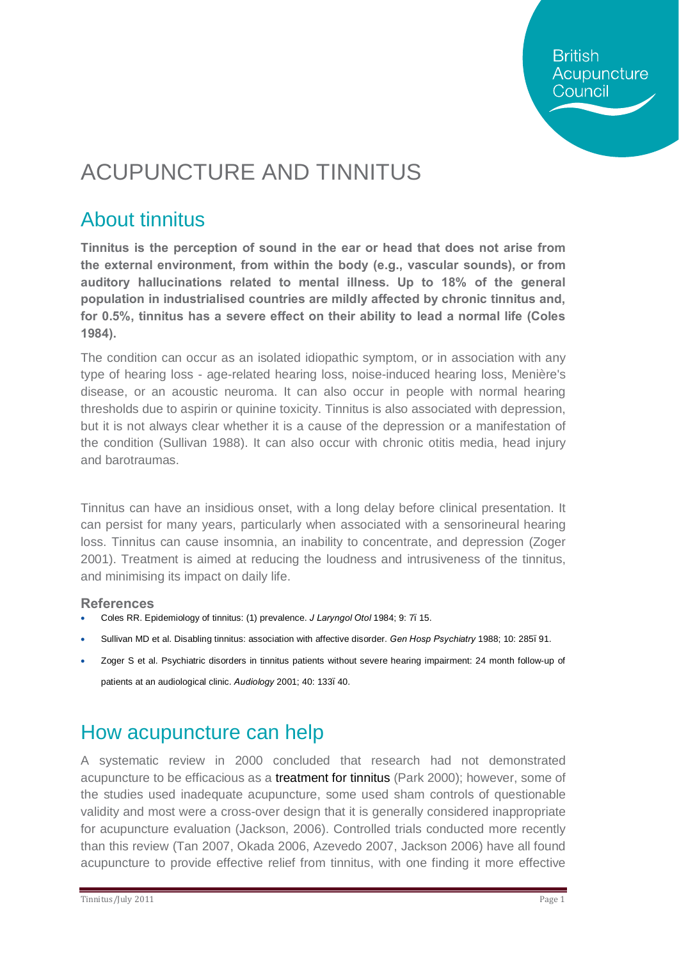**British** Acupuncture Council

# ACUPUNCTURE AND TINNITUS

## About tinnitus

**Tinnitus is the perception of sound in the ear or head that does not arise from the external environment, from within the body (e.g., vascular sounds), or from auditory hallucinations related to mental illness. Up to 18% of the general population in industrialised countries are mildly affected by chronic tinnitus and, for 0.5%, tinnitus has a severe effect on their ability to lead a normal life (Coles 1984).** 

The condition can occur as an isolated idiopathic symptom, or in association with any type of hearing loss - age-related hearing loss, noise-induced hearing loss, Menière's disease, or an acoustic neuroma. It can also occur in people with normal hearing thresholds due to aspirin or quinine toxicity. Tinnitus is also associated with depression, but it is not always clear whether it is a cause of the depression or a manifestation of the condition (Sullivan 1988). It can also occur with chronic otitis media, head injury and barotraumas.

Tinnitus can have an insidious onset, with a long delay before clinical presentation. It can persist for many years, particularly when associated with a sensorineural hearing loss. Tinnitus can cause insomnia, an inability to concentrate, and depression (Zoger 2001). Treatment is aimed at reducing the loudness and intrusiveness of the tinnitus, and minimising its impact on daily life.

#### **References**

- · Coles RR. Epidemiology of tinnitus: (1) prevalence. *J Laryngol Otol* 1984; 9: 7–15.
- · Sullivan MD et al. Disabling tinnitus: association with affective disorder. *Gen Hosp Psychiatry* 1988; 10: 285–91.
- · Zoger S et al. Psychiatric disorders in tinnitus patients without severe hearing impairment: 24 month follow-up of patients at an audiological clinic. *Audiology* 2001; 40: 133–40.

## How acupuncture can help

A systematic review in 2000 concluded that research had not demonstrated acupuncture to be efficacious as a treatment for tinnitus (Park 2000); however, some of the studies used inadequate acupuncture, some used sham controls of questionable validity and most were a cross-over design that it is generally considered inappropriate for acupuncture evaluation (Jackson, 2006). Controlled trials conducted more recently than this review (Tan 2007, Okada 2006, Azevedo 2007, Jackson 2006) have all found acupuncture to provide effective relief from tinnitus, with one finding it more effective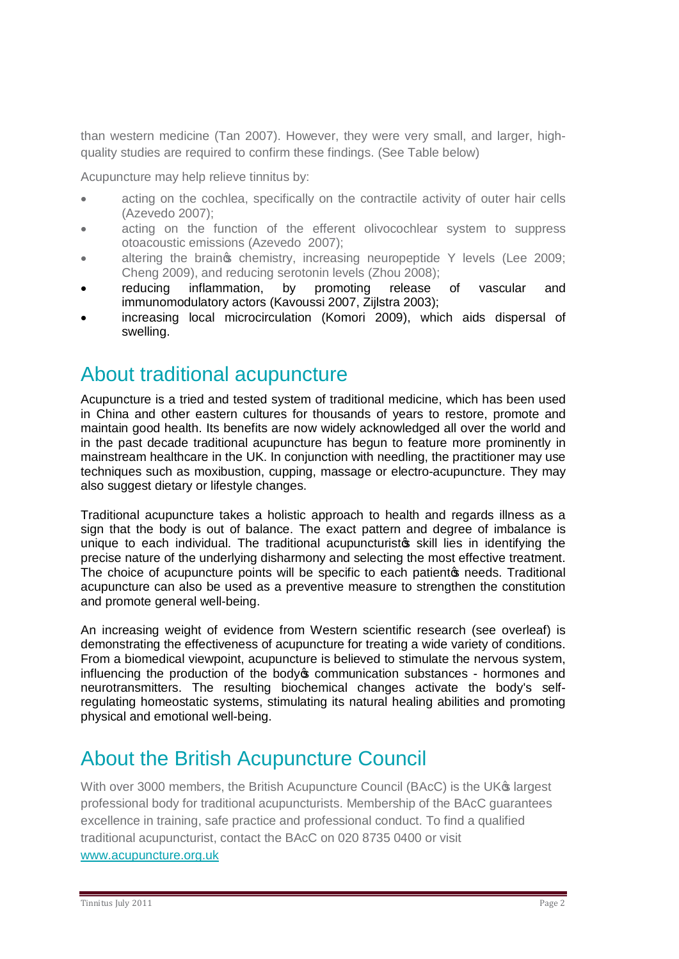than western medicine (Tan 2007). However, they were very small, and larger, highquality studies are required to confirm these findings. (See Table below)

Acupuncture may help relieve tinnitus by:

- · acting on the cochlea, specifically on the contractile activity of outer hair cells (Azevedo 2007);
- · acting on the function of the efferent olivocochlear system to suppress otoacoustic emissions (Azevedo 2007);
- altering the braings chemistry, increasing neuropeptide Y levels (Lee 2009; Cheng 2009), and reducing serotonin levels (Zhou 2008);
- reducing inflammation, by promoting release of vascular and immunomodulatory actors (Kavoussi 2007, Zijlstra 2003);
- increasing local microcirculation (Komori 2009), which aids dispersal of swelling.

#### About traditional acupuncture

Acupuncture is a tried and tested system of traditional medicine, which has been used in China and other eastern cultures for thousands of years to restore, promote and maintain good health. Its benefits are now widely acknowledged all over the world and in the past decade traditional acupuncture has begun to feature more prominently in mainstream healthcare in the UK. In conjunction with needling, the practitioner may use techniques such as moxibustion, cupping, massage or electro-acupuncture. They may also suggest dietary or lifestyle changes.

Traditional acupuncture takes a holistic approach to health and regards illness as a sign that the body is out of balance. The exact pattern and degree of imbalance is unique to each individual. The traditional acupuncturistos skill lies in identifying the precise nature of the underlying disharmony and selecting the most effective treatment. The choice of acupuncture points will be specific to each patient to needs. Traditional acupuncture can also be used as a preventive measure to strengthen the constitution and promote general well-being.

An increasing weight of evidence from Western scientific research (see overleaf) is demonstrating the effectiveness of acupuncture for treating a wide variety of conditions. From a biomedical viewpoint, acupuncture is believed to stimulate the nervous system, influencing the production of the body oper communication substances - hormones and neurotransmitters. The resulting biochemical changes activate the body's selfregulating homeostatic systems, stimulating its natural healing abilities and promoting physical and emotional well-being.

## About the British Acupuncture Council

With over 3000 members, the British Acupuncture Council (BAcC) is the UK<sup>®</sup> largest professional body for traditional acupuncturists. Membership of the BAcC guarantees excellence in training, safe practice and professional conduct. To find a qualified traditional acupuncturist, contact the BAcC on 020 8735 0400 or visit [www.acupuncture.org.uk](http://www.acupuncture.org.uk/)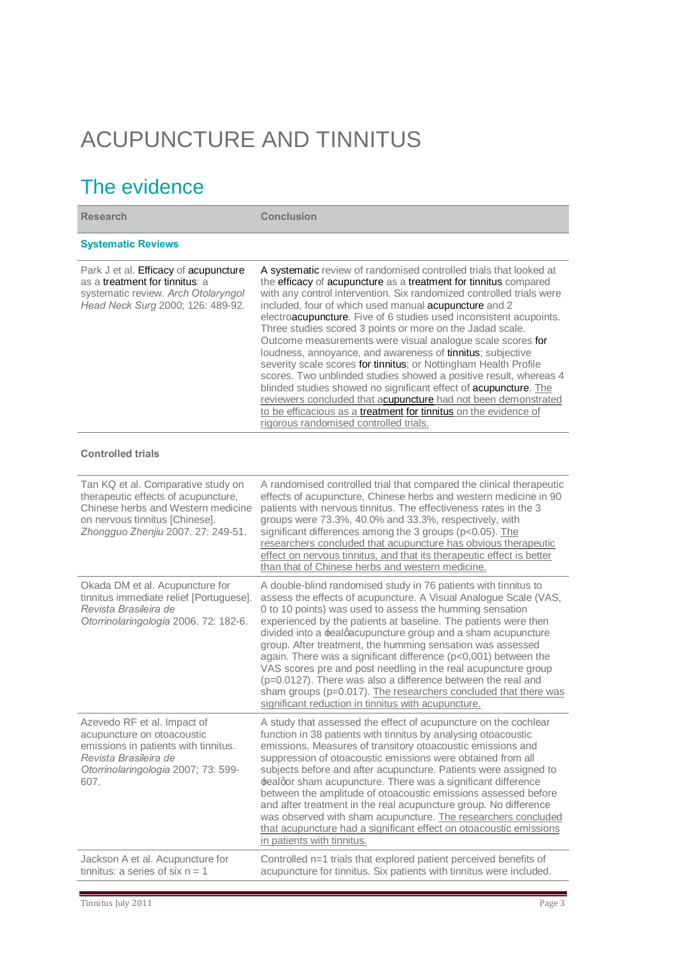# ACUPUNCTURE AND TINNITUS

## The evidence

| <b>Research</b>                                                                                                                                                                         | <b>Conclusion</b>                                                                                                                                                                                                                                                                                                                                                                                                                                                                                                                                                                                                                                                                                                                                                                                                                                                                                                                   |
|-----------------------------------------------------------------------------------------------------------------------------------------------------------------------------------------|-------------------------------------------------------------------------------------------------------------------------------------------------------------------------------------------------------------------------------------------------------------------------------------------------------------------------------------------------------------------------------------------------------------------------------------------------------------------------------------------------------------------------------------------------------------------------------------------------------------------------------------------------------------------------------------------------------------------------------------------------------------------------------------------------------------------------------------------------------------------------------------------------------------------------------------|
| <b>Systematic Reviews</b>                                                                                                                                                               |                                                                                                                                                                                                                                                                                                                                                                                                                                                                                                                                                                                                                                                                                                                                                                                                                                                                                                                                     |
| Park J et al. Efficacy of acupuncture<br>as a treatment for tinnitus: a<br>systematic review. Arch Otolaryngol<br>Head Neck Surg 2000; 126: 489-92.                                     | A systematic review of randomised controlled trials that looked at<br>the efficacy of acupuncture as a treatment for tinnitus compared<br>with any control intervention. Six randomized controlled trials were<br>included, four of which used manual acupuncture and 2<br>electroacupuncture. Five of 6 studies used inconsistent acupoints.<br>Three studies scored 3 points or more on the Jadad scale.<br>Outcome measurements were visual analogue scale scores for<br>loudness, annoyance, and awareness of tinnitus; subjective<br>severity scale scores for tinnitus; or Nottingham Health Profile<br>scores. Two unblinded studies showed a positive result, whereas 4<br>blinded studies showed no significant effect of acupuncture. The<br>reviewers concluded that acupuncture had not been demonstrated<br>to be efficacious as a treatment for tinnitus on the evidence of<br>rigorous randomised controlled trials. |
| <b>Controlled trials</b>                                                                                                                                                                |                                                                                                                                                                                                                                                                                                                                                                                                                                                                                                                                                                                                                                                                                                                                                                                                                                                                                                                                     |
| Tan KQ et al. Comparative study on<br>therapeutic effects of acupuncture,<br>Chinese herbs and Western medicine<br>on nervous tinnitus [Chinese].<br>Zhongguo Zhenjiu 2007. 27: 249-51. | A randomised controlled trial that compared the clinical therapeutic<br>effects of acupuncture, Chinese herbs and western medicine in 90<br>patients with nervous tinnitus. The effectiveness rates in the 3<br>groups were 73.3%, 40.0% and 33.3%, respectively, with<br>significant differences among the 3 groups (p<0.05). The<br>researchers concluded that acupuncture has obvious therapeutic<br>effect on nervous tinnitus, and that its therapeutic effect is better<br>than that of Chinese herbs and western medicine.                                                                                                                                                                                                                                                                                                                                                                                                   |
| Okada DM et al. Acupuncture for<br>tinnitus immediate relief [Portuguese].<br>Revista Brasileira de<br>Otorrinolaringologia 2006. 72: 182-6.                                            | A double-blind randomised study in 76 patients with tinnitus to<br>assess the effects of acupuncture. A Visual Analogue Scale (VAS,<br>0 to 10 points) was used to assess the humming sensation<br>experienced by the patients at baseline. The patients were then<br>divided into a realgacupuncture group and a sham acupuncture<br>group. After treatment, the humming sensation was assessed<br>again. There was a significant difference (p<0,001) between the<br>VAS scores pre and post needling in the real acupuncture group<br>(p=0.0127). There was also a difference between the real and<br>sham groups (p=0.017). The researchers concluded that there was<br>significant reduction in tinnitus with acupuncture.                                                                                                                                                                                                     |
| Azevedo RF et al. Impact of<br>acupuncture on otoacoustic<br>emissions in patients with tinnitus.<br>Revista Brasileira de<br>Otorrinolaringologia 2007; 73: 599-<br>607.               | A study that assessed the effect of acupuncture on the cochlear<br>function in 38 patients with tinnitus by analysing otoacoustic<br>emissions. Measures of transitory otoacoustic emissions and<br>suppression of otoacoustic emissions were obtained from all<br>subjects before and after acupuncture. Patients were assigned to<br><b>fealgor sham acupuncture. There was a significant difference</b><br>between the amplitude of otoacoustic emissions assessed before<br>and after treatment in the real acupuncture group. No difference<br>was observed with sham acupuncture. The researchers concluded<br>that acupuncture had a significant effect on otoacoustic emissions<br>in patients with tinnitus.                                                                                                                                                                                                               |
| Jackson A et al. Acupuncture for<br>tinnitus: a series of six $n = 1$                                                                                                                   | Controlled n=1 trials that explored patient perceived benefits of<br>acupuncture for tinnitus. Six patients with tinnitus were included.                                                                                                                                                                                                                                                                                                                                                                                                                                                                                                                                                                                                                                                                                                                                                                                            |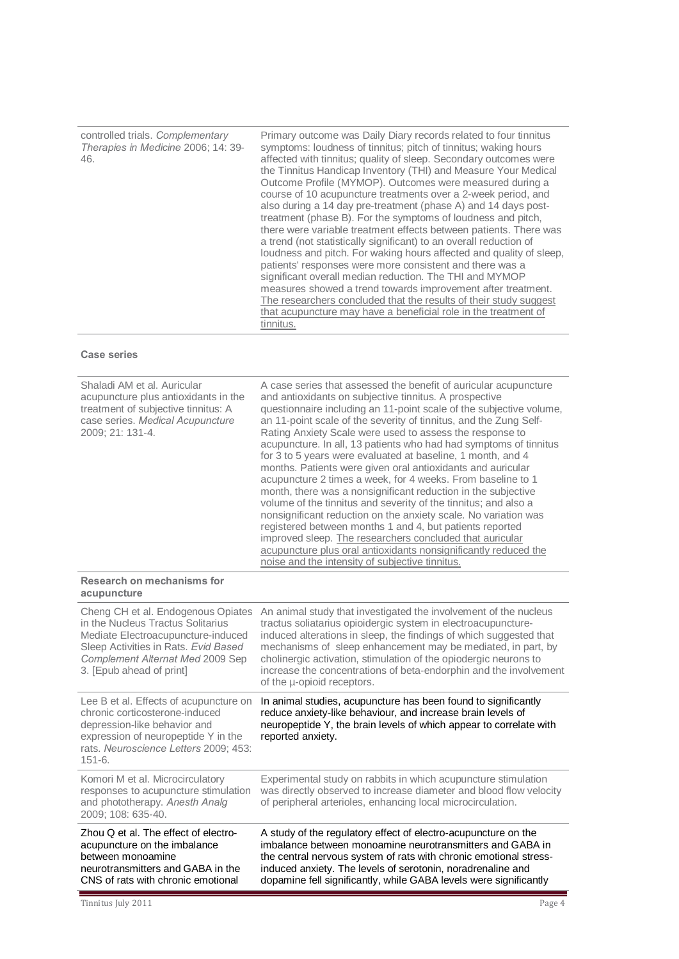controlled trials. *Complementary Therapies in Medicine* 2006; 14: 39- 46.

Primary outcome was Daily Diary records related to four tinnitus symptoms: loudness of tinnitus; pitch of tinnitus; waking hours affected with tinnitus; quality of sleep. Secondary outcomes were the Tinnitus Handicap Inventory (THI) and Measure Your Medical Outcome Profile (MYMOP). Outcomes were measured during a course of 10 acupuncture treatments over a 2-week period, and also during a 14 day pre-treatment (phase A) and 14 days posttreatment (phase B). For the symptoms of loudness and pitch, there were variable treatment effects between patients. There was a trend (not statistically significant) to an overall reduction of loudness and pitch. For waking hours affected and quality of sleep, patients' responses were more consistent and there was a significant overall median reduction. The THI and MYMOP measures showed a trend towards improvement after treatment. The researchers concluded that the results of their study suggest that acupuncture may have a beneficial role in the treatment of tinnitus.

#### **Case series**

| Shaladi AM et al. Auricular<br>acupuncture plus antioxidants in the<br>treatment of subjective tinnitus: A<br>case series. Medical Acupuncture<br>2009; 21: 131-4.                                                    | A case series that assessed the benefit of auricular acupuncture<br>and antioxidants on subjective tinnitus. A prospective<br>questionnaire including an 11-point scale of the subjective volume,<br>an 11-point scale of the severity of tinnitus, and the Zung Self-<br>Rating Anxiety Scale were used to assess the response to<br>acupuncture. In all, 13 patients who had had symptoms of tinnitus<br>for 3 to 5 years were evaluated at baseline, 1 month, and 4<br>months. Patients were given oral antioxidants and auricular<br>acupuncture 2 times a week, for 4 weeks. From baseline to 1<br>month, there was a nonsignificant reduction in the subjective<br>volume of the tinnitus and severity of the tinnitus; and also a<br>nonsignificant reduction on the anxiety scale. No variation was<br>registered between months 1 and 4, but patients reported<br>improved sleep. The researchers concluded that auricular<br>acupuncture plus oral antioxidants nonsignificantly reduced the<br>noise and the intensity of subjective tinnitus. |
|-----------------------------------------------------------------------------------------------------------------------------------------------------------------------------------------------------------------------|-----------------------------------------------------------------------------------------------------------------------------------------------------------------------------------------------------------------------------------------------------------------------------------------------------------------------------------------------------------------------------------------------------------------------------------------------------------------------------------------------------------------------------------------------------------------------------------------------------------------------------------------------------------------------------------------------------------------------------------------------------------------------------------------------------------------------------------------------------------------------------------------------------------------------------------------------------------------------------------------------------------------------------------------------------------|
| Research on mechanisms for<br>acupuncture                                                                                                                                                                             |                                                                                                                                                                                                                                                                                                                                                                                                                                                                                                                                                                                                                                                                                                                                                                                                                                                                                                                                                                                                                                                           |
| Cheng CH et al. Endogenous Opiates<br>in the Nucleus Tractus Solitarius<br>Mediate Electroacupuncture-induced<br>Sleep Activities in Rats. Evid Based<br>Complement Alternat Med 2009 Sep<br>3. [Epub ahead of print] | An animal study that investigated the involvement of the nucleus<br>tractus soliatarius opioidergic system in electroacupuncture-<br>induced alterations in sleep, the findings of which suggested that<br>mechanisms of sleep enhancement may be mediated, in part, by<br>cholinergic activation, stimulation of the opiodergic neurons to<br>increase the concentrations of beta-endorphin and the involvement<br>of the µ-opioid receptors.                                                                                                                                                                                                                                                                                                                                                                                                                                                                                                                                                                                                            |
| Lee B et al. Effects of acupuncture on<br>chronic corticosterone-induced<br>depression-like behavior and<br>expression of neuropeptide Y in the<br>rats. Neuroscience Letters 2009; 453:<br>$151 - 6.$                | In animal studies, acupuncture has been found to significantly<br>reduce anxiety-like behaviour, and increase brain levels of<br>neuropeptide Y, the brain levels of which appear to correlate with<br>reported anxiety.                                                                                                                                                                                                                                                                                                                                                                                                                                                                                                                                                                                                                                                                                                                                                                                                                                  |
| Komori M et al. Microcirculatory<br>responses to acupuncture stimulation<br>and phototherapy. Anesth Analg<br>2009; 108: 635-40.                                                                                      | Experimental study on rabbits in which acupuncture stimulation<br>was directly observed to increase diameter and blood flow velocity<br>of peripheral arterioles, enhancing local microcirculation.                                                                                                                                                                                                                                                                                                                                                                                                                                                                                                                                                                                                                                                                                                                                                                                                                                                       |
| Zhou Q et al. The effect of electro-<br>acupuncture on the imbalance<br>between monoamine<br>neurotransmitters and GABA in the<br>CNS of rats with chronic emotional                                                  | A study of the regulatory effect of electro-acupuncture on the<br>imbalance between monoamine neurotransmitters and GABA in<br>the central nervous system of rats with chronic emotional stress-<br>induced anxiety. The levels of serotonin, noradrenaline and<br>dopamine fell significantly, while GABA levels were significantly                                                                                                                                                                                                                                                                                                                                                                                                                                                                                                                                                                                                                                                                                                                      |